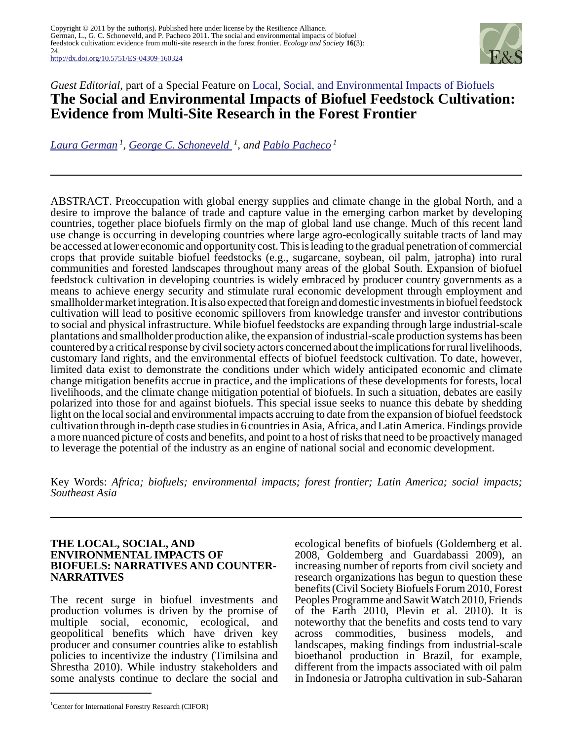

# *Guest Editorial*, part of a Special Feature on [Local, Social, and Environmental Impacts of Biofuels](http://www.ecologyandsociety.org/viewissue.php?sf=68) **The Social and Environmental Impacts of Biofuel Feedstock Cultivation: Evidence from Multi-Site Research in the Forest Frontier**

*[Laura German](mailto:L.GERMAN@cgiar.org)<sup>1</sup> , [George C. Schoneveld](mailto:G.Schoneveld@cgiar.org) <sup>1</sup>, and [Pablo Pacheco](mailto:p.pacheco@cgiar.org)<sup>1</sup>*

ABSTRACT. Preoccupation with global energy supplies and climate change in the global North, and a desire to improve the balance of trade and capture value in the emerging carbon market by developing countries, together place biofuels firmly on the map of global land use change. Much of this recent land use change is occurring in developing countries where large agro-ecologically suitable tracts of land may be accessed at lower economic and opportunity cost. This is leading to the gradual penetration of commercial crops that provide suitable biofuel feedstocks (e.g., sugarcane, soybean, oil palm, jatropha) into rural communities and forested landscapes throughout many areas of the global South. Expansion of biofuel feedstock cultivation in developing countries is widely embraced by producer country governments as a means to achieve energy security and stimulate rural economic development through employment and smallholder market integration. It is also expected that foreign and domestic investments in biofuel feedstock cultivation will lead to positive economic spillovers from knowledge transfer and investor contributions to social and physical infrastructure. While biofuel feedstocks are expanding through large industrial-scale plantations and smallholder production alike, the expansion of industrial-scale production systems has been countered by a critical response by civil society actors concerned about the implications for rural livelihoods, customary land rights, and the environmental effects of biofuel feedstock cultivation. To date, however, limited data exist to demonstrate the conditions under which widely anticipated economic and climate change mitigation benefits accrue in practice, and the implications of these developments for forests, local livelihoods, and the climate change mitigation potential of biofuels. In such a situation, debates are easily polarized into those for and against biofuels. This special issue seeks to nuance this debate by shedding light on the local social and environmental impacts accruing to date from the expansion of biofuel feedstock cultivation through in-depth case studies in 6 countries in Asia, Africa, and Latin America. Findings provide a more nuanced picture of costs and benefits, and point to a host of risks that need to be proactively managed to leverage the potential of the industry as an engine of national social and economic development.

Key Words: *Africa; biofuels; environmental impacts; forest frontier; Latin America; social impacts; Southeast Asia* 

#### **THE LOCAL, SOCIAL, AND ENVIRONMENTAL IMPACTS OF BIOFUELS: NARRATIVES AND COUNTER-NARRATIVES**

The recent surge in biofuel investments and production volumes is driven by the promise of multiple social, economic, ecological, and geopolitical benefits which have driven key producer and consumer countries alike to establish policies to incentivize the industry (Timilsina and Shrestha 2010). While industry stakeholders and some analysts continue to declare the social and

<sup>1</sup>Center for International Forestry Research (CIFOR)

ecological benefits of biofuels (Goldemberg et al. 2008, Goldemberg and Guardabassi 2009), an increasing number of reports from civil society and research organizations has begun to question these benefits (Civil Society Biofuels Forum 2010, Forest Peoples Programme and Sawit Watch 2010, Friends of the Earth 2010, Plevin et al. 2010). It is noteworthy that the benefits and costs tend to vary across commodities, business models, and landscapes, making findings from industrial-scale bioethanol production in Brazil, for example, different from the impacts associated with oil palm in Indonesia or Jatropha cultivation in sub-Saharan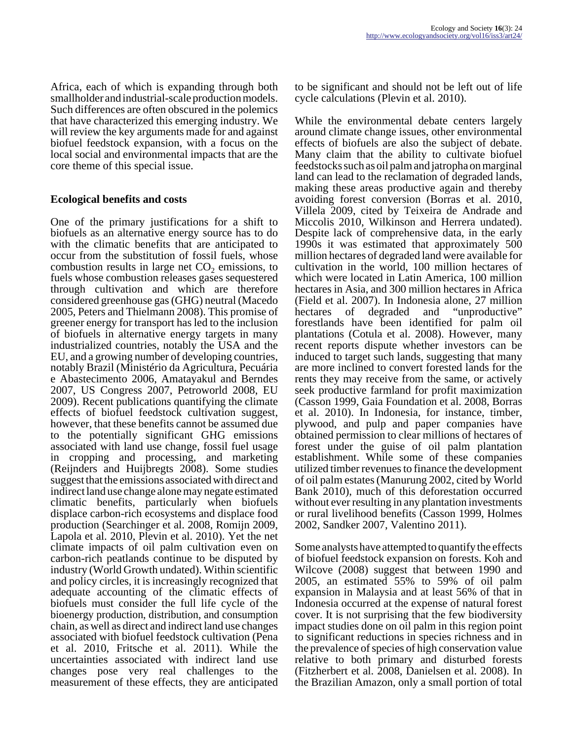Africa, each of which is expanding through both smallholder and industrial-scale production models. Such differences are often obscured in the polemics that have characterized this emerging industry. We will review the key arguments made for and against biofuel feedstock expansion, with a focus on the local social and environmental impacts that are the core theme of this special issue.

### **Ecological benefits and costs**

One of the primary justifications for a shift to biofuels as an alternative energy source has to do with the climatic benefits that are anticipated to occur from the substitution of fossil fuels, whose combustion results in large net  $CO_2$  emissions, to fuels whose combustion releases gases sequestered through cultivation and which are therefore considered greenhouse gas (GHG) neutral (Macedo 2005, Peters and Thielmann 2008). This promise of greener energy for transport has led to the inclusion of biofuels in alternative energy targets in many industrialized countries, notably the USA and the EU, and a growing number of developing countries, notably Brazil (Ministério da Agricultura, Pecuária e Abastecimento 2006, Amatayakul and Berndes 2007, US Congress 2007, Petroworld 2008, EU 2009). Recent publications quantifying the climate effects of biofuel feedstock cultivation suggest, however, that these benefits cannot be assumed due to the potentially significant GHG emissions associated with land use change, fossil fuel usage in cropping and processing, and marketing (Reijnders and Huijbregts 2008). Some studies suggest that the emissions associated with direct and indirect land use change alone may negate estimated climatic benefits, particularly when biofuels displace carbon-rich ecosystems and displace food production (Searchinger et al. 2008, Romijn 2009, Lapola et al. 2010, Plevin et al. 2010). Yet the net climate impacts of oil palm cultivation even on carbon-rich peatlands continue to be disputed by industry (World Growth undated). Within scientific and policy circles, it is increasingly recognized that adequate accounting of the climatic effects of biofuels must consider the full life cycle of the bioenergy production, distribution, and consumption chain, as well as direct and indirect land use changes associated with biofuel feedstock cultivation (Pena et al. 2010, Fritsche et al. 2011). While the uncertainties associated with indirect land use changes pose very real challenges to the measurement of these effects, they are anticipated

to be significant and should not be left out of life cycle calculations (Plevin et al. 2010).

While the environmental debate centers largely around climate change issues, other environmental effects of biofuels are also the subject of debate. Many claim that the ability to cultivate biofuel feedstocks such as oil palm and jatropha on marginal land can lead to the reclamation of degraded lands, making these areas productive again and thereby avoiding forest conversion (Borras et al. 2010, Villela 2009, cited by Teixeira de Andrade and Miccolis 2010, Wilkinson and Herrera undated). Despite lack of comprehensive data, in the early 1990s it was estimated that approximately 500 million hectares of degraded land were available for cultivation in the world, 100 million hectares of which were located in Latin America, 100 million hectares in Asia, and 300 million hectares in Africa (Field et al. 2007). In Indonesia alone, 27 million hectares of degraded and forestlands have been identified for palm oil plantations (Cotula et al. 2008). However, many recent reports dispute whether investors can be induced to target such lands, suggesting that many are more inclined to convert forested lands for the rents they may receive from the same, or actively seek productive farmland for profit maximization (Casson 1999, Gaia Foundation et al. 2008, Borras et al. 2010). In Indonesia, for instance, timber, plywood, and pulp and paper companies have obtained permission to clear millions of hectares of forest under the guise of oil palm plantation establishment. While some of these companies utilized timber revenues to finance the development of oil palm estates (Manurung 2002, cited by World Bank 2010), much of this deforestation occurred without ever resulting in any plantation investments or rural livelihood benefits (Casson 1999, Holmes 2002, Sandker 2007, Valentino 2011).

Some analysts have attempted to quantify the effects of biofuel feedstock expansion on forests. Koh and Wilcove (2008) suggest that between 1990 and 2005, an estimated 55% to 59% of oil palm expansion in Malaysia and at least 56% of that in Indonesia occurred at the expense of natural forest cover. It is not surprising that the few biodiversity impact studies done on oil palm in this region point to significant reductions in species richness and in the prevalence of species of high conservation value relative to both primary and disturbed forests (Fitzherbert et al. 2008, Danielsen et al. 2008). In the Brazilian Amazon, only a small portion of total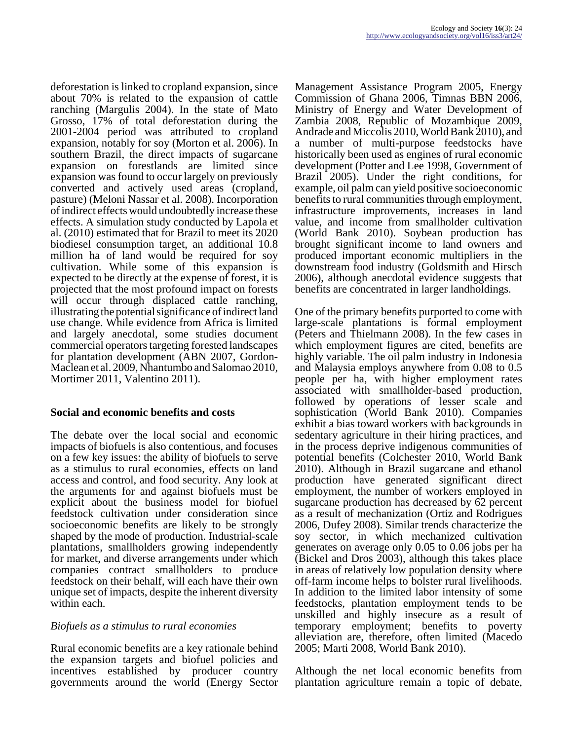deforestation is linked to cropland expansion, since about 70% is related to the expansion of cattle ranching (Margulis 2004). In the state of Mato Grosso, 17% of total deforestation during the 2001-2004 period was attributed to cropland expansion, notably for soy (Morton et al. 2006). In southern Brazil, the direct impacts of sugarcane expansion on forestlands are limited since expansion was found to occur largely on previously converted and actively used areas (cropland, pasture) (Meloni Nassar et al. 2008). Incorporation of indirect effects would undoubtedly increase these effects. A simulation study conducted by Lapola et al. (2010) estimated that for Brazil to meet its 2020 biodiesel consumption target, an additional 10.8 million ha of land would be required for soy cultivation. While some of this expansion is expected to be directly at the expense of forest, it is projected that the most profound impact on forests will occur through displaced cattle ranching, illustrating the potential significance of indirect land use change. While evidence from Africa is limited and largely anecdotal, some studies document commercial operators targeting forested landscapes for plantation development (ABN 2007, Gordon-Maclean et al. 2009, Nhantumbo and Salomao 2010, Mortimer 2011, Valentino 2011).

### **Social and economic benefits and costs**

The debate over the local social and economic impacts of biofuels is also contentious, and focuses on a few key issues: the ability of biofuels to serve as a stimulus to rural economies, effects on land access and control, and food security. Any look at the arguments for and against biofuels must be explicit about the business model for biofuel feedstock cultivation under consideration since socioeconomic benefits are likely to be strongly shaped by the mode of production. Industrial-scale plantations, smallholders growing independently for market, and diverse arrangements under which companies contract smallholders to produce feedstock on their behalf, will each have their own unique set of impacts, despite the inherent diversity within each.

## *Biofuels as a stimulus to rural economies*

Rural economic benefits are a key rationale behind the expansion targets and biofuel policies and incentives established by producer country governments around the world (Energy Sector

Management Assistance Program 2005, Energy Commission of Ghana 2006, Timnas BBN 2006, Ministry of Energy and Water Development of Zambia 2008, Republic of Mozambique 2009, Andrade and Miccolis 2010, World Bank 2010), and a number of multi-purpose feedstocks have historically been used as engines of rural economic development (Potter and Lee 1998, Government of Brazil 2005). Under the right conditions, for example, oil palm can yield positive socioeconomic benefits to rural communities through employment, infrastructure improvements, increases in land value, and income from smallholder cultivation (World Bank 2010). Soybean production has brought significant income to land owners and produced important economic multipliers in the downstream food industry (Goldsmith and Hirsch 2006), although anecdotal evidence suggests that benefits are concentrated in larger landholdings.

One of the primary benefits purported to come with large-scale plantations is formal employment (Peters and Thielmann 2008). In the few cases in which employment figures are cited, benefits are highly variable. The oil palm industry in Indonesia and Malaysia employs anywhere from 0.08 to 0.5 people per ha, with higher employment rates associated with smallholder-based production, followed by operations of lesser scale and sophistication (World Bank 2010). Companies exhibit a bias toward workers with backgrounds in sedentary agriculture in their hiring practices, and in the process deprive indigenous communities of potential benefits (Colchester 2010, World Bank 2010). Although in Brazil sugarcane and ethanol production have generated significant direct employment, the number of workers employed in sugarcane production has decreased by 62 percent as a result of mechanization (Ortiz and Rodrigues 2006, Dufey 2008). Similar trends characterize the soy sector, in which mechanized cultivation generates on average only 0.05 to 0.06 jobs per ha (Bickel and Dros 2003), although this takes place in areas of relatively low population density where off-farm income helps to bolster rural livelihoods. In addition to the limited labor intensity of some feedstocks, plantation employment tends to be unskilled and highly insecure as a result of temporary employment; benefits to poverty alleviation are, therefore, often limited (Macedo 2005; Marti 2008, World Bank 2010).

Although the net local economic benefits from plantation agriculture remain a topic of debate,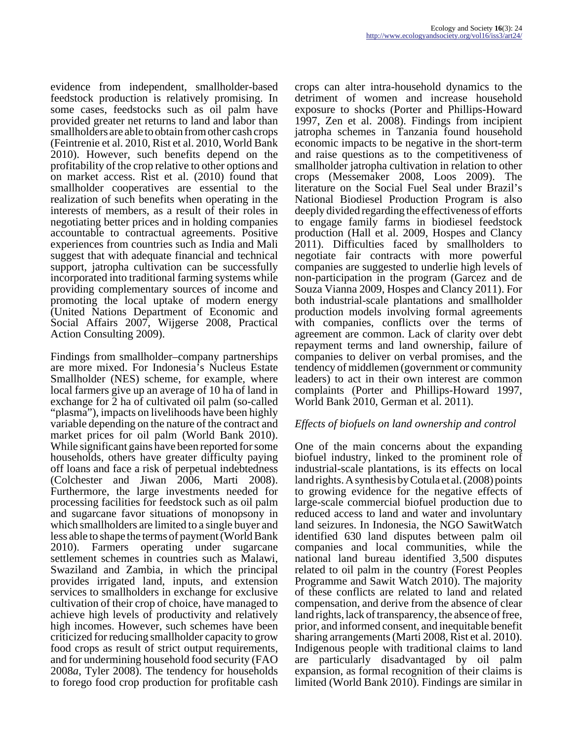evidence from independent, smallholder-based feedstock production is relatively promising. In some cases, feedstocks such as oil palm have provided greater net returns to land and labor than smallholders are able to obtain from other cash crops (Feintrenie et al. 2010, Rist et al. 2010, World Bank 2010). However, such benefits depend on the profitability of the crop relative to other options and on market access. Rist et al. (2010) found that smallholder cooperatives are essential to the realization of such benefits when operating in the interests of members, as a result of their roles in negotiating better prices and in holding companies accountable to contractual agreements. Positive experiences from countries such as India and Mali suggest that with adequate financial and technical support, jatropha cultivation can be successfully incorporated into traditional farming systems while providing complementary sources of income and promoting the local uptake of modern energy (United Nations Department of Economic and Social Affairs 2007, Wijgerse 2008, Practical Action Consulting 2009).

Findings from smallholder–company partnerships are more mixed. For Indonesia's Nucleus Estate Smallholder (NES) scheme, for example, where local farmers give up an average of 10 ha of land in exchange for 2 ha of cultivated oil palm (so-called "plasma"), impacts on livelihoods have been highly variable depending on the nature of the contract and market prices for oil palm (World Bank 2010). While significant gains have been reported for some households, others have greater difficulty paying off loans and face a risk of perpetual indebtedness (Colchester and Jiwan 2006, Marti 2008). Furthermore, the large investments needed for processing facilities for feedstock such as oil palm and sugarcane favor situations of monopsony in which smallholders are limited to a single buyer and less able to shape the terms of payment (World Bank 2010). Farmers operating under sugarcane settlement schemes in countries such as Malawi, Swaziland and Zambia, in which the principal provides irrigated land, inputs, and extension services to smallholders in exchange for exclusive cultivation of their crop of choice, have managed to achieve high levels of productivity and relatively high incomes. However, such schemes have been criticized for reducing smallholder capacity to grow food crops as result of strict output requirements, and for undermining household food security (FAO 2008*a*, Tyler 2008). The tendency for households to forego food crop production for profitable cash

crops can alter intra-household dynamics to the detriment of women and increase household exposure to shocks (Porter and Phillips-Howard 1997, Zen et al. 2008). Findings from incipient jatropha schemes in Tanzania found household economic impacts to be negative in the short-term and raise questions as to the competitiveness of smallholder jatropha cultivation in relation to other crops (Messemaker 2008, Loos 2009). The literature on the Social Fuel Seal under Brazil's National Biodiesel Production Program is also deeply divided regarding the effectiveness of efforts to engage family farms in biodiesel feedstock production (Hall et al. 2009, Hospes and Clancy 2011). Difficulties faced by smallholders to negotiate fair contracts with more powerful companies are suggested to underlie high levels of non-participation in the program (Garcez and de Souza Vianna 2009, Hospes and Clancy 2011). For both industrial-scale plantations and smallholder production models involving formal agreements with companies, conflicts over the terms of agreement are common. Lack of clarity over debt repayment terms and land ownership, failure of companies to deliver on verbal promises, and the tendency of middlemen (government or community leaders) to act in their own interest are common complaints (Porter and Phillips-Howard 1997, World Bank 2010, German et al. 2011).

### *Effects of biofuels on land ownership and control*

One of the main concerns about the expanding biofuel industry, linked to the prominent role of industrial-scale plantations, is its effects on local land rights. A synthesis by Cotula et al. (2008) points to growing evidence for the negative effects of large-scale commercial biofuel production due to reduced access to land and water and involuntary land seizures. In Indonesia, the NGO SawitWatch identified 630 land disputes between palm oil companies and local communities, while the national land bureau identified 3,500 disputes related to oil palm in the country (Forest Peoples Programme and Sawit Watch 2010). The majority of these conflicts are related to land and related compensation, and derive from the absence of clear land rights, lack of transparency, the absence of free, prior, and informed consent, and inequitable benefit sharing arrangements (Marti 2008, Rist et al. 2010). Indigenous people with traditional claims to land are particularly disadvantaged by oil palm expansion, as formal recognition of their claims is limited (World Bank 2010). Findings are similar in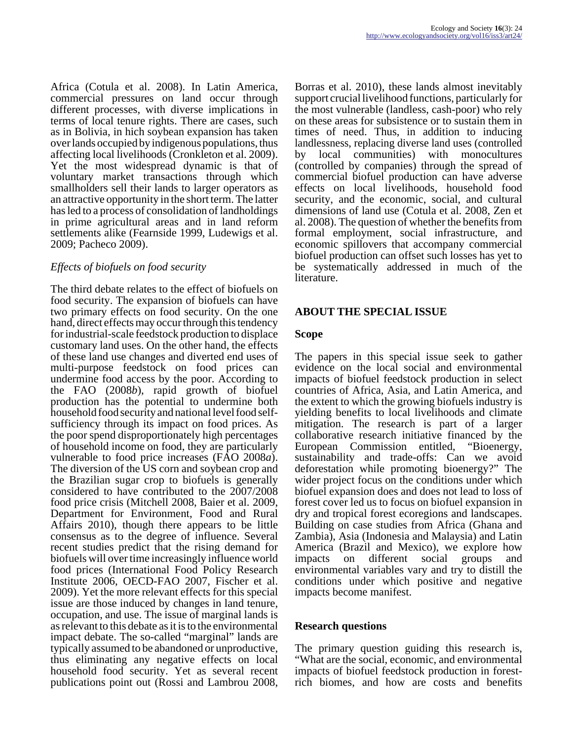Africa (Cotula et al. 2008). In Latin America, commercial pressures on land occur through different processes, with diverse implications in terms of local tenure rights. There are cases, such as in Bolivia, in hich soybean expansion has taken over lands occupied by indigenous populations, thus affecting local livelihoods (Cronkleton et al. 2009). Yet the most widespread dynamic is that of voluntary market transactions through which smallholders sell their lands to larger operators as an attractive opportunity in the short term. The latter has led to a process of consolidation of landholdings in prime agricultural areas and in land reform settlements alike (Fearnside 1999, Ludewigs et al. 2009; Pacheco 2009).

#### *Effects of biofuels on food security*

The third debate relates to the effect of biofuels on food security. The expansion of biofuels can have two primary effects on food security. On the one hand, direct effects may occur through this tendency for industrial-scale feedstock production to displace customary land uses. On the other hand, the effects of these land use changes and diverted end uses of multi-purpose feedstock on food prices can undermine food access by the poor. According to the FAO (2008*b*), rapid growth of biofuel production has the potential to undermine both household food security and national level food selfsufficiency through its impact on food prices. As the poor spend disproportionately high percentages of household income on food, they are particularly vulnerable to food price increases (FAO 2008*a*). The diversion of the US corn and soybean crop and the Brazilian sugar crop to biofuels is generally considered to have contributed to the 2007/2008 food price crisis (Mitchell 2008, Baier et al. 2009, Department for Environment, Food and Rural Affairs 2010), though there appears to be little consensus as to the degree of influence. Several recent studies predict that the rising demand for biofuels will over time increasingly influence world food prices (International Food Policy Research Institute 2006, OECD-FAO 2007, Fischer et al. 2009). Yet the more relevant effects for this special issue are those induced by changes in land tenure, occupation, and use. The issue of marginal lands is as relevant to this debate as it is to the environmental impact debate. The so-called "marginal" lands are typically assumed to be abandoned or unproductive, thus eliminating any negative effects on local household food security. Yet as several recent publications point out (Rossi and Lambrou 2008,

Borras et al. 2010), these lands almost inevitably support crucial livelihood functions, particularly for the most vulnerable (landless, cash-poor) who rely on these areas for subsistence or to sustain them in times of need. Thus, in addition to inducing landlessness, replacing diverse land uses (controlled by local communities) with monocultures (controlled by companies) through the spread of commercial biofuel production can have adverse effects on local livelihoods, household food security, and the economic, social, and cultural dimensions of land use (Cotula et al. 2008, Zen et al. 2008). The question of whether the benefits from formal employment, social infrastructure, and economic spillovers that accompany commercial biofuel production can offset such losses has yet to be systematically addressed in much of the literature.

### **ABOUT THE SPECIAL ISSUE**

### **Scope**

The papers in this special issue seek to gather evidence on the local social and environmental impacts of biofuel feedstock production in select countries of Africa, Asia, and Latin America, and the extent to which the growing biofuels industry is yielding benefits to local livelihoods and climate mitigation. The research is part of a larger collaborative research initiative financed by the European Commission entitled, "Bioenergy, sustainability and trade-offs: Can we avoid deforestation while promoting bioenergy?" The wider project focus on the conditions under which biofuel expansion does and does not lead to loss of forest cover led us to focus on biofuel expansion in dry and tropical forest ecoregions and landscapes. Building on case studies from Africa (Ghana and Zambia), Asia (Indonesia and Malaysia) and Latin America (Brazil and Mexico), we explore how impacts on different social groups and environmental variables vary and try to distill the conditions under which positive and negative impacts become manifest.

### **Research questions**

The primary question guiding this research is, "What are the social, economic, and environmental impacts of biofuel feedstock production in forestrich biomes, and how are costs and benefits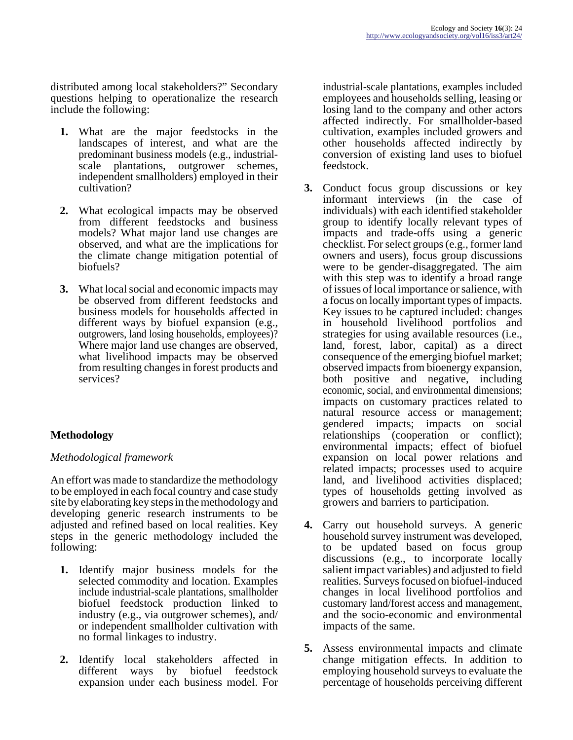distributed among local stakeholders?" Secondary questions helping to operationalize the research include the following:

- **1.** What are the major feedstocks in the landscapes of interest, and what are the predominant business models (e.g., industrialscale plantations, outgrower schemes, independent smallholders) employed in their cultivation?
- **2.** What ecological impacts may be observed from different feedstocks and business models? What major land use changes are observed, and what are the implications for the climate change mitigation potential of biofuels?
- **3.** What local social and economic impacts may be observed from different feedstocks and business models for households affected in different ways by biofuel expansion (e.g., outgrowers, land losing households, employees)? Where major land use changes are observed, what livelihood impacts may be observed from resulting changes in forest products and services?

## **Methodology**

### *Methodological framework*

An effort was made to standardize the methodology to be employed in each focal country and case study site by elaborating key steps in the methodology and developing generic research instruments to be adjusted and refined based on local realities. Key steps in the generic methodology included the following:

- **1.** Identify major business models for the selected commodity and location. Examples include industrial-scale plantations, smallholder biofuel feedstock production linked to industry (e.g., via outgrower schemes), and/ or independent smallholder cultivation with no formal linkages to industry.
- **2.** Identify local stakeholders affected in different ways by biofuel feedstock expansion under each business model. For

industrial-scale plantations, examples included employees and households selling, leasing or losing land to the company and other actors affected indirectly. For smallholder-based cultivation, examples included growers and other households affected indirectly by conversion of existing land uses to biofuel feedstock.

- **3.** Conduct focus group discussions or key informant interviews (in the case of individuals) with each identified stakeholder group to identify locally relevant types of impacts and trade-offs using a generic checklist. For select groups (e.g., former land owners and users), focus group discussions were to be gender-disaggregated. The aim with this step was to identify a broad range of issues of local importance or salience, with a focus on locally important types of impacts. Key issues to be captured included: changes in household livelihood portfolios and strategies for using available resources (i.e., land, forest, labor, capital) as a direct consequence of the emerging biofuel market; observed impacts from bioenergy expansion, both positive and negative, including economic, social, and environmental dimensions; impacts on customary practices related to natural resource access or management; gendered impacts; impacts on social relationships (cooperation or conflict); environmental impacts; effect of biofuel expansion on local power relations and related impacts; processes used to acquire land, and livelihood activities displaced; types of households getting involved as growers and barriers to participation.
- **4.** Carry out household surveys. A generic household survey instrument was developed, to be updated based on focus group discussions (e.g., to incorporate locally salient impact variables) and adjusted to field realities. Surveys focused on biofuel-induced changes in local livelihood portfolios and customary land/forest access and management, and the socio-economic and environmental impacts of the same.
- **5.** Assess environmental impacts and climate change mitigation effects. In addition to employing household surveys to evaluate the percentage of households perceiving different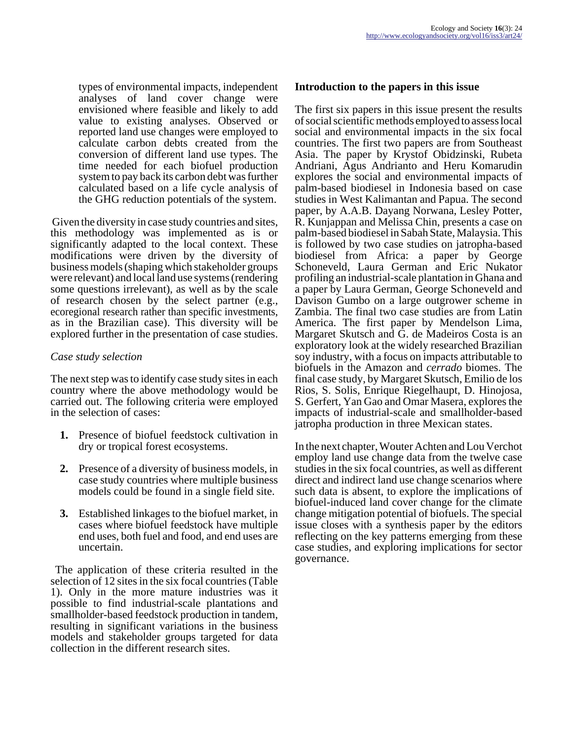types of environmental impacts, independent analyses of land cover change were envisioned where feasible and likely to add value to existing analyses. Observed or reported land use changes were employed to calculate carbon debts created from the conversion of different land use types. The time needed for each biofuel production system to pay back its carbon debt was further calculated based on a life cycle analysis of the GHG reduction potentials of the system.

 Given the diversity in case study countries and sites, this methodology was implemented as is or significantly adapted to the local context. These modifications were driven by the diversity of business models (shaping which stakeholder groups were relevant) and local land use systems (rendering some questions irrelevant), as well as by the scale of research chosen by the select partner (e.g., ecoregional research rather than specific investments, as in the Brazilian case). This diversity will be explored further in the presentation of case studies.

## *Case study selection*

The next step was to identify case study sites in each country where the above methodology would be carried out. The following criteria were employed in the selection of cases:

- **1.** Presence of biofuel feedstock cultivation in dry or tropical forest ecosystems.
- **2.** Presence of a diversity of business models, in case study countries where multiple business models could be found in a single field site.
- **3.** Established linkages to the biofuel market, in cases where biofuel feedstock have multiple end uses, both fuel and food, and end uses are uncertain.

 The application of these criteria resulted in the selection of 12 sites in the six focal countries (Table 1). Only in the more mature industries was it possible to find industrial-scale plantations and smallholder-based feedstock production in tandem, resulting in significant variations in the business models and stakeholder groups targeted for data collection in the different research sites.

## **Introduction to the papers in this issue**

The first six papers in this issue present the results of social scientific methods employed to assess local social and environmental impacts in the six focal countries. The first two papers are from Southeast Asia. The paper by Krystof Obidzinski, Rubeta Andriani, Agus Andrianto and Heru Komarudin explores the social and environmental impacts of palm-based biodiesel in Indonesia based on case studies in West Kalimantan and Papua. The second paper, by A.A.B. Dayang Norwana, Lesley Potter, R. Kunjappan and Melissa Chin, presents a case on palm-based biodiesel in Sabah State, Malaysia. This is followed by two case studies on jatropha-based biodiesel from Africa: a paper by George Schoneveld, Laura German and Eric Nukator profiling an industrial-scale plantation in Ghana and a paper by Laura German, George Schoneveld and Davison Gumbo on a large outgrower scheme in Zambia. The final two case studies are from Latin America. The first paper by Mendelson Lima, Margaret Skutsch and G. de Madeiros Costa is an exploratory look at the widely researched Brazilian soy industry, with a focus on impacts attributable to biofuels in the Amazon and *cerrado* biomes. The final case study, by Margaret Skutsch, Emilio de los Rios, S. Solis, Enrique Riegelhaupt, D. Hinojosa, S. Gerfert, Yan Gao and Omar Masera, explores the impacts of industrial-scale and smallholder-based jatropha production in three Mexican states.

In the next chapter, Wouter Achten and Lou Verchot employ land use change data from the twelve case studies in the six focal countries, as well as different direct and indirect land use change scenarios where such data is absent, to explore the implications of biofuel-induced land cover change for the climate change mitigation potential of biofuels. The special issue closes with a synthesis paper by the editors reflecting on the key patterns emerging from these case studies, and exploring implications for sector governance.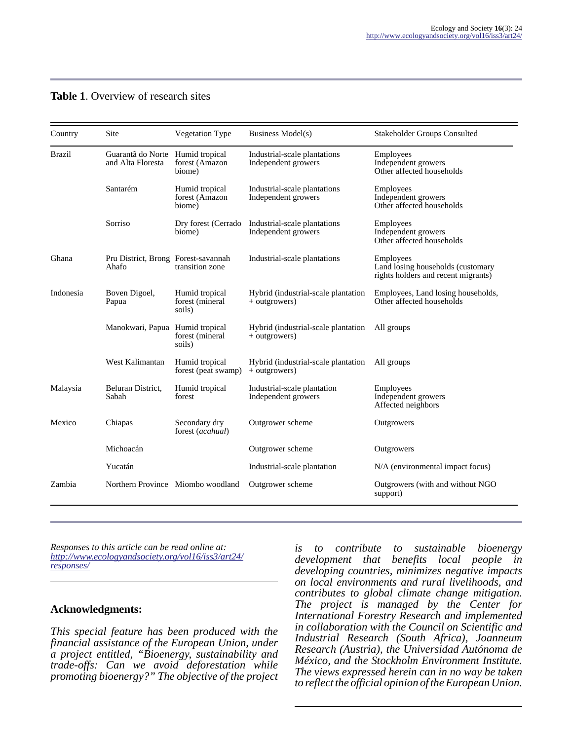#### **Table 1**. Overview of research sites

| Country       | Site                                         | <b>Vegetation Type</b>                      | Business Model(s)                                      | <b>Stakeholder Groups Consulted</b>                                                   |
|---------------|----------------------------------------------|---------------------------------------------|--------------------------------------------------------|---------------------------------------------------------------------------------------|
| <b>Brazil</b> | Guarantã do Norte<br>and Alta Floresta       | Humid tropical<br>forest (Amazon<br>biome)  | Industrial-scale plantations<br>Independent growers    | Employees<br>Independent growers<br>Other affected households                         |
|               | Santarém                                     | Humid tropical<br>forest (Amazon<br>biome)  | Industrial-scale plantations<br>Independent growers    | Employees<br>Independent growers<br>Other affected households                         |
|               | Sorriso                                      | Dry forest (Cerrado<br>biome)               | Industrial-scale plantations<br>Independent growers    | Employees<br>Independent growers<br>Other affected households                         |
| Ghana         | Pru District, Brong Forest-savannah<br>Ahafo | transition zone                             | Industrial-scale plantations                           | Employees<br>Land losing households (customary<br>rights holders and recent migrants) |
| Indonesia     | Boven Digoel,<br>Papua                       | Humid tropical<br>forest (mineral<br>soils) | Hybrid (industrial-scale plantation<br>+ outgrowers)   | Employees, Land losing households,<br>Other affected households                       |
|               | Manokwari, Papua Humid tropical              | forest (mineral<br>soils)                   | Hybrid (industrial-scale plantation)<br>+ outgrowers)  | All groups                                                                            |
|               | West Kalimantan                              | Humid tropical<br>forest (peat swamp)       | Hybrid (industrial-scale plantation<br>$+$ outgrowers) | All groups                                                                            |
| Malaysia      | Beluran District,<br>Sabah                   | Humid tropical<br>forest                    | Industrial-scale plantation<br>Independent growers     | Employees<br>Independent growers<br>Affected neighbors                                |
| Mexico        | Chiapas                                      | Secondary dry<br>forest (acahual)           | Outgrower scheme                                       | Outgrowers                                                                            |
|               | Michoacán                                    |                                             | Outgrower scheme                                       | Outgrowers                                                                            |
|               | Yucatán                                      |                                             | Industrial-scale plantation                            | N/A (environmental impact focus)                                                      |
| Zambia        |                                              | Northern Province Miombo woodland           | Outgrower scheme                                       | Outgrowers (with and without NGO<br>support)                                          |

*Responses to this article can be read online at: [http://www](http://www.ecologyandsociety.org/vol16/iss3/art24/responses/).ecologyandsociety.org/vol16/iss3/art24/ responses/*

#### **Acknowledgments:**

*This special feature has been produced with the financial assistance of the European Union, under a project entitled, "Bioenergy, sustainability and trade-offs: Can we avoid deforestation while promoting bioenergy?" The objective of the project*

*is to contribute to sustainable bioenergy development that benefits local people in developing countries, minimizes negative impacts on local environments and rural livelihoods, and contributes to global climate change mitigation. The project is managed by the Center for International Forestry Research and implemented in collaboration with the Council on Scientific and Industrial Research (South Africa), Joanneum Research (Austria), the Universidad Autónoma de México, and the Stockholm Environment Institute. The views expressed herein can in no way be taken to reflect the official opinion of the European Union.*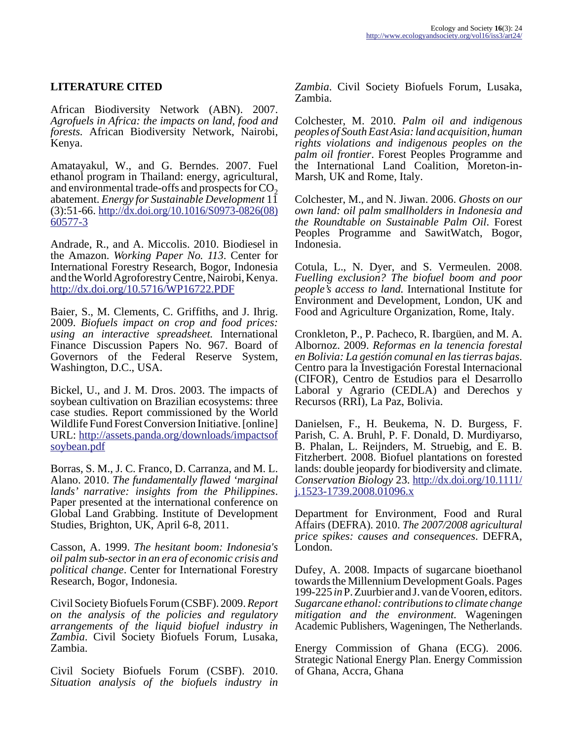### **LITERATURE CITED**

African Biodiversity Network (ABN). 2007. *Agrofuels in Africa: the impacts on land, food and forests.* African Biodiversity Network, Nairobi, Kenya.

Amatayakul, W., and G. Berndes. 2007. Fuel ethanol program in Thailand: energy, agricultural, and environmental trade-offs and prospects for  $CO<sub>2</sub>$ abatement. *Energy for Sustainable Development* 11 (3):51-66. [http://dx.doi.org/10.1016/S0973-0826\(08\)](http://dx.doi.org/10.1016/S0973-0826(08)60577-3) [60577-3](http://dx.doi.org/10.1016/S0973-0826(08)60577-3)

Andrade, R., and A. Miccolis. 2010. Biodiesel in the Amazon. *Working Paper No. 113*. Center for International Forestry Research, Bogor, Indonesia and the World Agroforestry Centre, Nairobi, Kenya. <http://dx.doi.org/10.5716/WP16722.PDF>

Baier, S., M. Clements, C. Griffiths, and J. Ihrig. 2009. *Biofuels impact on crop and food prices: using an interactive spreadsheet.* International Finance Discussion Papers No. 967. Board of Governors of the Federal Reserve System, Washington, D.C., USA.

Bickel, U., and J. M. Dros. 2003. The impacts of soybean cultivation on Brazilian ecosystems: three case studies. Report commissioned by the World Wildlife Fund Forest Conversion Initiative. [online] URL: [http://assets.panda.org/downloads/impactsof](http://assets.panda.org/downloads/impactsofsoybean.pdf) [soybean.pdf](http://assets.panda.org/downloads/impactsofsoybean.pdf)

Borras, S. M., J. C. Franco, D. Carranza, and M. L. Alano. 2010. *The fundamentally flawed 'marginal lands' narrative: insights from the Philippines*. Paper presented at the international conference on Global Land Grabbing. Institute of Development Studies, Brighton, UK, April 6-8, 2011.

Casson, A. 1999. *The hesitant boom: Indonesia's oil palm sub-sector in an era of economic crisis and political change*. Center for International Forestry Research, Bogor, Indonesia.

Civil Society Biofuels Forum (CSBF). 2009. *Report on the analysis of the policies and regulatory arrangements of the liquid biofuel industry in Zambia*. Civil Society Biofuels Forum, Lusaka, Zambia.

Civil Society Biofuels Forum (CSBF). 2010. *Situation analysis of the biofuels industry in* *Zambia*. Civil Society Biofuels Forum, Lusaka, Zambia.

Colchester, M. 2010. *Palm oil and indigenous peoples of South East Asia: land acquisition, human rights violations and indigenous peoples on the palm oil frontier*. Forest Peoples Programme and the International Land Coalition, Moreton-in-Marsh, UK and Rome, Italy.

Colchester, M., and N. Jiwan. 2006. *Ghosts on our own land: oil palm smallholders in Indonesia and the Roundtable on Sustainable Palm Oil*. Forest Peoples Programme and SawitWatch, Bogor, Indonesia.

Cotula, L., N. Dyer, and S. Vermeulen. 2008. *Fuelling exclusion? The biofuel boom and poor people's access to land.* International Institute for Environment and Development, London, UK and Food and Agriculture Organization, Rome, Italy.

Cronkleton, P., P. Pacheco, R. Ibargüen, and M. A. Albornoz. 2009. *Reformas en la tenencia forestal en Bolivia: La gestión comunal en las tierras bajas*. Centro para la Investigación Forestal Internacional (CIFOR), Centro de Estudios para el Desarrollo Laboral y Agrario (CEDLA) and Derechos y Recursos (RRI), La Paz, Bolivia.

Danielsen, F., H. Beukema, N. D. Burgess, F. Parish, C. A. Bruhl, P. F. Donald, D. Murdiyarso, B. Phalan, L. Reijnders, M. Struebig, and E. B. Fitzherbert. 2008. Biofuel plantations on forested lands: double jeopardy for biodiversity and climate. *Conservation Biology* 23. [http://dx.doi.org/10.1111/](http://dx.doi.org/10.1111/j.1523-1739.2008.01096.x) [j.1523-1739.2008.01096.x](http://dx.doi.org/10.1111/j.1523-1739.2008.01096.x)

Department for Environment, Food and Rural Affairs (DEFRA). 2010. *The 2007/2008 agricultural price spikes: causes and consequences*. DEFRA, London.

Dufey, A. 2008. Impacts of sugarcane bioethanol towards the Millennium Development Goals. Pages 199-225 *in* P. Zuurbier and J. van de Vooren, editors. *Sugarcane ethanol: contributions to climate change mitigation and the environment.* Wageningen Academic Publishers, Wageningen, The Netherlands.

Energy Commission of Ghana (ECG). 2006. Strategic National Energy Plan. Energy Commission of Ghana, Accra, Ghana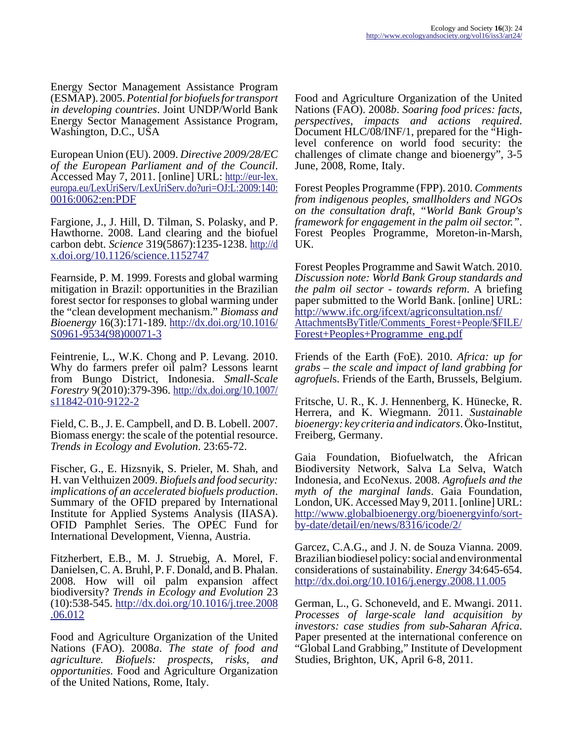Energy Sector Management Assistance Program (ESMAP). 2005. *Potential for biofuels for transport in developing countries*. Joint UNDP/World Bank Energy Sector Management Assistance Program, Washington, D.C., USA

European Union (EU). 2009. *Directive 2009/28/EC of the European Parliament and of the Council*. Accessed May 7, 2011. [online] URL: [http://eur-lex.](http://eur-lex.europa.eu/LexUriServ/LexUriServ.do?uri=OJ:L:2009:140:%200016:0062:en:PDF) europa.eu/LexUriServ/LexUriServ.do?uri=OJ:L:2009:140: [0016:0062:en:PDF](http://eur-lex.europa.eu/LexUriServ/LexUriServ.do?uri=OJ:L:2009:140:%200016:0062:en:PDF)

Fargione, J., J. Hill, D. Tilman, S. Polasky, and P. Hawthorne. 2008. Land clearing and the biofuel carbon debt. *Science* 319(5867):1235-1238. [http://d](http://dx.doi.org/10.1126/science.1152747) [x.doi.org/10.1126/science.1152747](http://dx.doi.org/10.1126/science.1152747)

Fearnside, P. M. 1999. Forests and global warming mitigation in Brazil: opportunities in the Brazilian forest sector for responses to global warming under the "clean development mechanism." *Biomass and Bioenergy* 16(3):171-189. [http://dx.doi.org/10.1016/](http://dx.doi.org/10.1016/S0961-9534(98)00071-3) [S0961-9534\(98\)00071-3](http://dx.doi.org/10.1016/S0961-9534(98)00071-3)

Feintrenie, L., W.K. Chong and P. Levang. 2010. Why do farmers prefer oil palm? Lessons learnt from Bungo District, Indonesia. *Small-Scale Forestry* 9(2010):379-396. [http://dx.doi.org/10.1007/](http://dx.doi.org/10.1007/s11842-010-9122-2) [s11842-010-9122-2](http://dx.doi.org/10.1007/s11842-010-9122-2)

Field, C. B., J. E. Campbell, and D. B. Lobell. 2007. Biomass energy: the scale of the potential resource. *Trends in Ecology and Evolution*. 23:65-72.

Fischer, G., E. Hizsnyik, S. Prieler, M. Shah, and H. van Velthuizen 2009. *Biofuels and food security: implications of an accelerated biofuels production*. Summary of the OFID prepared by International Institute for Applied Systems Analysis (IIASA). OFID Pamphlet Series. The OPEC Fund for International Development, Vienna, Austria.

Fitzherbert, E.B., M. J. Struebig, A. Morel, F. Danielsen, C. A. Bruhl, P. F. Donald, and B. Phalan. 2008. How will oil palm expansion affect biodiversity? *Trends in Ecology and Evolution* 23  $(10):$ 538-545. [http://dx.doi.org/10.1016/j.tree.2008](http://dx.doi.org/10.1016/j.tree.2008.06.012) [.06.012](http://dx.doi.org/10.1016/j.tree.2008.06.012)

Food and Agriculture Organization of the United Nations (FAO). 2008*a*. *The state of food and agriculture. Biofuels: prospects, risks, and opportunities.* Food and Agriculture Organization of the United Nations, Rome, Italy.

Food and Agriculture Organization of the United Nations (FAO). 2008*b*. *Soaring food prices: facts, perspectives, impacts and actions required*. Document HLC/08/INF/1, prepared for the "Highlevel conference on world food security: the challenges of climate change and bioenergy", 3-5 June, 2008, Rome, Italy.

Forest Peoples Programme (FPP). 2010. *Comments from indigenous peoples, smallholders and NGOs on the consultation draft, "World Bank Group's framework for engagement in the palm oil sector."*. Forest Peoples Programme, Moreton-in-Marsh, UK.

Forest Peoples Programme and Sawit Watch. 2010. *Discussion note: World Bank Group standards and the palm oil sector - towards reform*. A briefing paper submitted to the World Bank. [online] URL: [http://www.ifc.org/ifcext/agriconsultation.nsf/](http://www.ifc.org/ifcext/agriconsultation.nsf/AttachmentsByTitle/Comments_Forest+People/$FILE/Forest+Peoples+Programme_eng.pdf) [AttachmentsByTitle/Comments\\_Forest+People/\\$FILE/](http://www.ifc.org/ifcext/agriconsultation.nsf/AttachmentsByTitle/Comments_Forest+People/$FILE/Forest+Peoples+Programme_eng.pdf) [Forest+Peoples+Programme\\_eng.pdf](http://www.ifc.org/ifcext/agriconsultation.nsf/AttachmentsByTitle/Comments_Forest+People/$FILE/Forest+Peoples+Programme_eng.pdf)

Friends of the Earth (FoE). 2010. *Africa: up for grabs – the scale and impact of land grabbing for agrofuel*s. Friends of the Earth, Brussels, Belgium.

Fritsche, U. R., K. J. Hennenberg, K. Hünecke, R. Herrera, and K. Wiegmann. 2011. *Sustainable bioenergy: key criteria and indicators*. Öko-Institut, Freiberg, Germany.

Gaia Foundation, Biofuelwatch, the African Biodiversity Network, Salva La Selva, Watch Indonesia, and EcoNexus. 2008. *Agrofuels and the myth of the marginal lands*. Gaia Foundation, London, UK. Accessed May 9, 2011. [online] URL: [http://www.globalbioenergy.org/bioenergyinfo/sort](http://www.globalbioenergy.org/bioenergyinfo/sort-by-date/detail/en/news/8316/icode/2/)[by-date/detail/en/news/8316/icode/2/](http://www.globalbioenergy.org/bioenergyinfo/sort-by-date/detail/en/news/8316/icode/2/)

Garcez, C.A.G., and J. N. de Souza Vianna. 2009. Brazilian biodiesel policy: social and environmental considerations of sustainability. *Energy* 34:645-654. <http://dx.doi.org/10.1016/j.energy.2008.11.005>

German, L., G. Schoneveld, and E. Mwangi. 2011. *Processes of large-scale land acquisition by investors: case studies from sub-Saharan Africa*. Paper presented at the international conference on "Global Land Grabbing," Institute of Development Studies, Brighton, UK, April 6-8, 2011.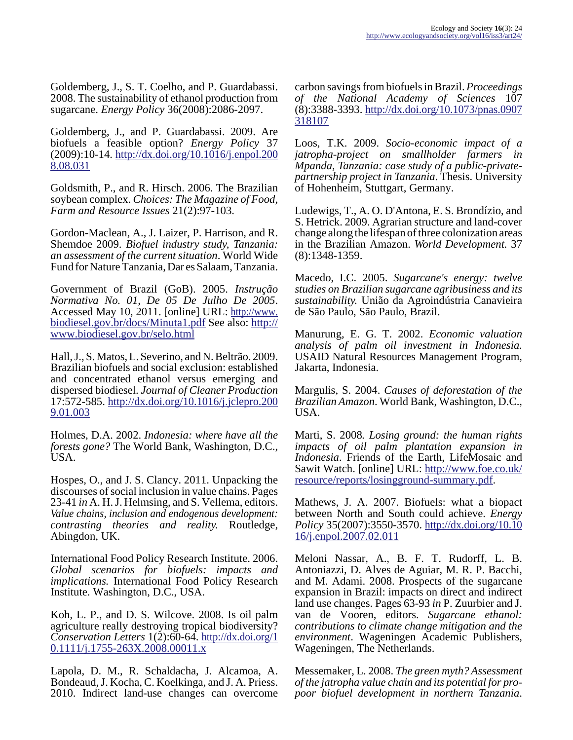Goldemberg, J., S. T. Coelho, and P. Guardabassi. 2008. The sustainability of ethanol production from sugarcane. *Energy Policy* 36(2008):2086-2097.

Goldemberg, J., and P. Guardabassi. 2009. Are biofuels a feasible option? *Energy Policy* 37 (2009):10-14. [http://dx.doi.org/10.1016/j.enpol.200](http://dx.doi.org/10.1016/j.enpol.2008.08.031) [8.08.031](http://dx.doi.org/10.1016/j.enpol.2008.08.031)

Goldsmith, P., and R. Hirsch. 2006. The Brazilian soybean complex. *Choices: The Magazine of Food, Farm and Resource Issues* 21(2):97-103.

Gordon-Maclean, A., J. Laizer, P. Harrison, and R. Shemdoe 2009. *Biofuel industry study, Tanzania: an assessment of the current situation*. World Wide Fund for Nature Tanzania, Dar es Salaam, Tanzania.

Government of Brazil (GoB). 2005. *Instrução Normativa No. 01, De 05 De Julho De 2005*. Accessed May 10, 2011. [online] URL: [http://www.](http://www.biodiesel.gov.br/docs/Minuta1.pdf) [biodiesel.gov.br/docs/Minuta1.pdf](http://www.biodiesel.gov.br/docs/Minuta1.pdf) See also: [http://](http://www.biodiesel.gov.br/selo.html) [www.biodiesel.gov.br/selo.html](http://www.biodiesel.gov.br/selo.html)

Hall, J., S. Matos, L. Severino, and N. Beltrão. 2009. Brazilian biofuels and social exclusion: established and concentrated ethanol versus emerging and dispersed biodiesel. *Journal of Cleaner Production* 17:572-585. [http://dx.doi.org/10.1016/j.jclepro.200](http://dx.doi.org/10.1016/j.jclepro.2009.01.003) [9.01.003](http://dx.doi.org/10.1016/j.jclepro.2009.01.003)

Holmes, D.A. 2002. *Indonesia: where have all the forests gone?* The World Bank, Washington, D.C., USA.

Hospes, O., and J. S. Clancy. 2011. Unpacking the discourses of social inclusion in value chains. Pages 23-41 *in* A. H. J. Helmsing, and S. Vellema, editors. *Value chains, inclusion and endogenous development: contrasting theories and reality.* Routledge, Abingdon, UK.

International Food Policy Research Institute. 2006. *Global scenarios for biofuels: impacts and implications.* International Food Policy Research Institute. Washington, D.C., USA.

Koh, L. P., and D. S. Wilcove. 2008. Is oil palm agriculture really destroying tropical biodiversity? *Conservation Letters* 1(2):60-64. [http://dx.doi.org/1](http://dx.doi.org/10.1111/j.1755-263X.2008.00011.x) [0.1111/j.1755-263X.2008.00011.x](http://dx.doi.org/10.1111/j.1755-263X.2008.00011.x)

Lapola, D. M., R. Schaldacha, J. Alcamoa, A. Bondeaud, J. Kocha, C. Koelkinga, and J. A. Priess. 2010. Indirect land-use changes can overcome carbon savings from biofuels in Brazil. *Proceedings of the National Academy of Sciences* 107 (8):3388-3393. [http://dx.doi.org/10.1073/pnas.0907](http://dx.doi.org/10.1073/pnas.0907318107) [318107](http://dx.doi.org/10.1073/pnas.0907318107)

Loos, T.K. 2009. *Socio-economic impact of a jatropha-project on smallholder farmers in Mpanda, Tanzania: case study of a public-privatepartnership project in Tanzania*. Thesis. University of Hohenheim, Stuttgart, Germany.

Ludewigs, T., A. O. D'Antona, E. S. Brondízio, and S. Hetrick. 2009. Agrarian structure and land-cover change along the lifespan of three colonization areas in the Brazilian Amazon. *World Development.* 37 (8):1348-1359.

Macedo, I.C. 2005. *Sugarcane's energy: twelve studies on Brazilian sugarcane agribusiness and its sustainability.* União da Agroindústria Canavieira de São Paulo, São Paulo, Brazil.

Manurung, E. G. T. 2002. *Economic valuation analysis of palm oil investment in Indonesia.* USAID Natural Resources Management Program, Jakarta, Indonesia.

Margulis, S. 2004. *Causes of deforestation of the Brazilian Amazon*. World Bank, Washington, D.C., USA.

Marti, S. 2008*. Losing ground: the human rights impacts of oil palm plantation expansion in Indonesia*. Friends of the Earth, LifeMosaic and Sawit Watch. [online] URL: [http://www.foe.co.uk/](http://www.foe.co.uk/resource/reports/losingground-summary.pdf) [resource/reports/losingground-summary.pdf.](http://www.foe.co.uk/resource/reports/losingground-summary.pdf)

Mathews, J. A. 2007. Biofuels: what a biopact between North and South could achieve. *Energy Policy* 35(2007):3550-3570. [http://dx.doi.org/10.10](http://dx.doi.org/10.1016/j.enpol.2007.02.011) [16/j.enpol.2007.02.011](http://dx.doi.org/10.1016/j.enpol.2007.02.011)

Meloni Nassar, A., B. F. T. Rudorff, L. B. Antoniazzi, D. Alves de Aguiar, M. R. P. Bacchi, and M. Adami. 2008. Prospects of the sugarcane expansion in Brazil: impacts on direct and indirect land use changes. Pages 63-93 *in* P. Zuurbier and J. van de Vooren, editors. *Sugarcane ethanol: contributions to climate change mitigation and the environment*. Wageningen Academic Publishers, Wageningen, The Netherlands.

Messemaker, L. 2008. *The green myth? Assessment of the jatropha value chain and its potential for propoor biofuel development in northern Tanzania*.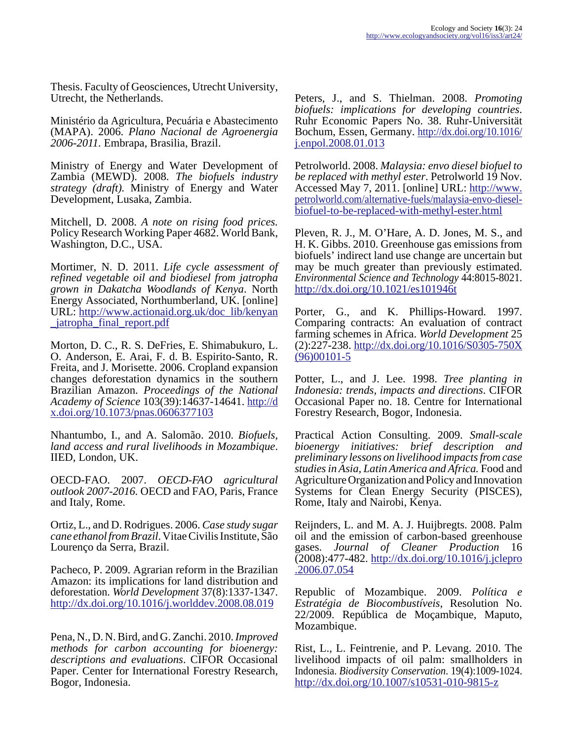Thesis. Faculty of Geosciences, Utrecht University, Utrecht, the Netherlands.

Ministério da Agricultura, Pecuária e Abastecimento (MAPA). 2006. *Plano Nacional de Agroenergia 2006-2011.* Embrapa, Brasilia, Brazil.

Ministry of Energy and Water Development of Zambia (MEWD). 2008. *The biofuels industry strategy (draft).* Ministry of Energy and Water Development, Lusaka, Zambia.

Mitchell, D. 2008. *A note on rising food prices.* Policy Research Working Paper 4682. World Bank, Washington, D.C., USA.

Mortimer, N. D. 2011. *Life cycle assessment of refined vegetable oil and biodiesel from jatropha grown in Dakatcha Woodlands of Kenya*. North Energy Associated, Northumberland, UK. [online] URL: [http://www.actionaid.org.uk/doc\\_lib/kenyan](http://www.actionaid.org.uk/doc_lib/kenyan_jatropha_final_report.pdf) [\\_jatropha\\_final\\_report.pdf](http://www.actionaid.org.uk/doc_lib/kenyan_jatropha_final_report.pdf)

Morton, D. C., R. S. DeFries, E. Shimabukuro, L. O. Anderson, E. Arai, F. d. B. Espirito-Santo, R. Freita, and J. Morisette. 2006. Cropland expansion changes deforestation dynamics in the southern Brazilian Amazon. *Proceedings of the National Academy of Science* 103(39):14637-14641. [http://d](http://dx.doi.org/10.1073/pnas.0606377103) [x.doi.org/10.1073/pnas.0606377103](http://dx.doi.org/10.1073/pnas.0606377103)

Nhantumbo, I., and A. Salomão. 2010. *Biofuels, land access and rural livelihoods in Mozambique*. IIED, London, UK.

OECD-FAO. 2007. *OECD-FAO agricultural outlook 2007-2016.* OECD and FAO, Paris, France and Italy, Rome.

Ortiz, L., and D. Rodrigues. 2006. *Case study sugar cane ethanol from Brazil*. Vitae Civilis Institute, São Lourenço da Serra, Brazil.

Pacheco, P. 2009. Agrarian reform in the Brazilian Amazon: its implications for land distribution and deforestation. *World Development* 37(8):1337-1347. <http://dx.doi.org/10.1016/j.worlddev.2008.08.019>

Pena, N., D. N. Bird, and G. Zanchi. 2010. *Improved methods for carbon accounting for bioenergy: descriptions and evaluations*. CIFOR Occasional Paper. Center for International Forestry Research, Bogor, Indonesia.

Peters, J., and S. Thielman. 2008. *Promoting biofuels: implications for developing countries*. Ruhr Economic Papers No. 38. Ruhr-Universität Bochum, Essen, Germany. [http://dx.doi.org/10.1016/](http://dx.doi.org/10.1016/j.enpol.2008.01.013) [j.enpol.2008.01.013](http://dx.doi.org/10.1016/j.enpol.2008.01.013)

Petrolworld. 2008. *Malaysia: envo diesel biofuel to be replaced with methyl ester*. Petrolworld 19 Nov. Accessed May 7, 2011. [online] URL: [http://www.](http://www.petrolworld.com/alternative-fuels/malaysia-envo-diesel-biofuel-to-be-replaced-with-methyl-ester.html) [petrolworld.com/alternative-fuels/malaysia-envo-diesel](http://www.petrolworld.com/alternative-fuels/malaysia-envo-diesel-biofuel-to-be-replaced-with-methyl-ester.html)[biofuel-to-be-replaced-with-methyl-ester.html](http://www.petrolworld.com/alternative-fuels/malaysia-envo-diesel-biofuel-to-be-replaced-with-methyl-ester.html)

Pleven, R. J., M. O'Hare, A. D. Jones, M. S., and H. K. Gibbs. 2010. Greenhouse gas emissions from biofuels' indirect land use change are uncertain but may be much greater than previously estimated. *Environmental Science and Technology* 44:8015-8021. <http://dx.doi.org/10.1021/es101946t>

Porter, G., and K. Phillips-Howard. 1997. Comparing contracts: An evaluation of contract farming schemes in Africa. *World Development* 25 (2):227-238. [http://dx.doi.org/10.1016/S0305-750X](http://dx.doi.org/10.1016/S0305-750X(96)00101-5) [\(96\)00101-5](http://dx.doi.org/10.1016/S0305-750X(96)00101-5)

Potter, L., and J. Lee. 1998. *Tree planting in Indonesia: trends, impacts and directions*. CIFOR Occasional Paper no. 18. Centre for International Forestry Research, Bogor, Indonesia.

Practical Action Consulting. 2009. *Small-scale bioenergy initiatives: brief description and preliminary lessons on livelihood impacts from case studies in Asia, Latin America and Africa.* Food and Agriculture Organization and Policy and Innovation Systems for Clean Energy Security (PISCES), Rome, Italy and Nairobi, Kenya.

Reijnders, L. and M. A. J. Huijbregts. 2008. Palm oil and the emission of carbon-based greenhouse gases. *Journal of Cleaner Production* 16  $(2008):477-482.$  [http://dx.doi.org/10.1016/j.jclepro](http://dx.doi.org/10.1016/j.jclepro.2006.07.054) [.2006.07.054](http://dx.doi.org/10.1016/j.jclepro.2006.07.054)

Republic of Mozambique. 2009. *Política e Estratégia de Biocombustíveis*, Resolution No. 22/2009. República de Moçambique, Maputo, Mozambique.

Rist, L., L. Feintrenie, and P. Levang. 2010. The livelihood impacts of oil palm: smallholders in Indonesia. *Biodiversity Conservation*. 19(4):1009-1024. <http://dx.doi.org/10.1007/s10531-010-9815-z>